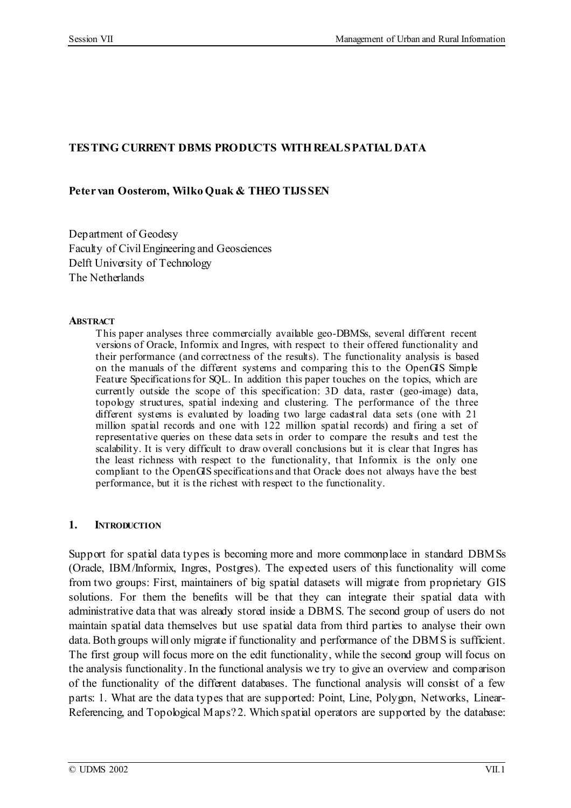## **TESTING CURRENT DBMS PRODUCTS WITHREALSPATIAL DATA**

### **Peter van Oosterom, Wilko Quak & THEO TIJSSEN**

Department of Geodesy Faculty of CivilEngineering and Geosciences Delft University of Technology The Netherlands

### **ABSTRACT**

This paper analyses three commercially available geo-DBMSs, several different recent versions of Oracle, Informix and Ingres, with respect to their offered functionality and their performance (and correctness of the results). The functionality analysis is based on the manuals of the different systems and comparing this to the OpenGIS Simple Feature Specifications for SQL. In addition this paper touches on the topics, which are currently outside the scope of this specification: 3D data, raster (geo-image) data, topology structures, spatial indexing and clustering. The performance of the three different systems is evaluated by loading two large cadastral data sets (one with 21 million spatial records and one with 122 million spatial records) and firing a set of representative queries on these data sets in order to compare the results and test the scalability. It is very difficult to draw overall conclusions but it is clear that Ingres has the least richness with respect to the functionality, that Informix is the only one compliant to the OpenGIS specifications and that Oracle does not always have the best performance, but it is the richest with respect to the functionality.

### **1. INTRODUCTION**

Support for spatial data types is becoming more and more commonplace in standard DBMSs (Oracle, IBM/Informix, Ingres, Postgres). The expected users of this functionality will come from two groups: First, maintainers of big spatial datasets will migrate from proprietary GIS solutions. For them the benefits will be that they can integrate their spatial data with administrative data that was already stored inside a DBMS. The second group of users do not maintain spatial data themselves but use spatial data from third parties to analyse their own data.Both groups will only migrate if functionality and performance of the DBMS is sufficient. The first group will focus more on the edit functionality, while the second group will focus on the analysis functionality.In the functional analysis we try to give an overview and comparison of the functionality of the different databases. The functional analysis will consist of a few parts: 1. What are the data types that are supported: Point, Line, Polygon, Networks, Linear-Referencing, and Topological Maps? 2. Which spatial operators are supported by the database: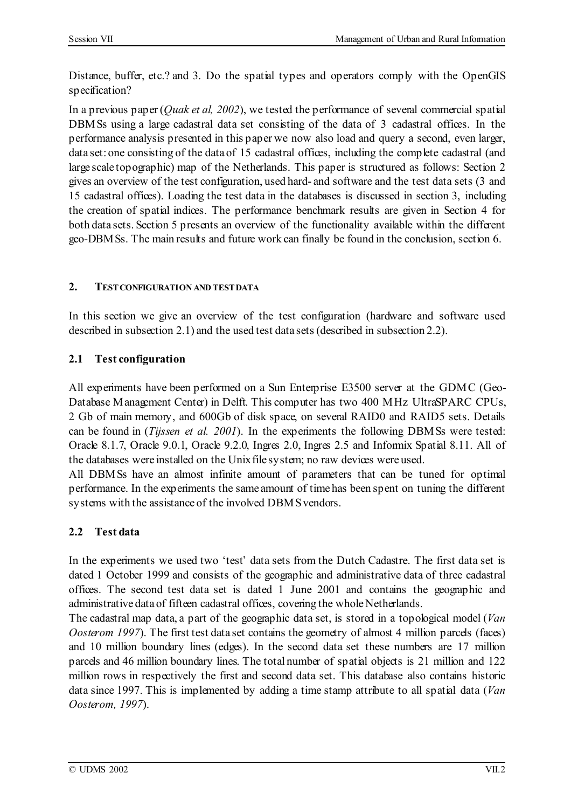Distance, buffer, etc.? and 3. Do the spatial types and operators comply with the OpenGIS specification?

In a previous paper(*Quak et al, 2002*), we tested the performance of several commercial spatial DBMSs using a large cadastral data set consisting of the data of 3 cadastral offices. In the performance analysis presented in this paper we now also load and query a second, even larger, data set: one consisting of the data of 15 cadastral offices, including the complete cadastral (and large scale topographic) map of the Netherlands. This paper is structured as follows: Section 2 gives an overview of the test configuration, used hard- and software and the test data sets (3 and 15 cadastral offices). Loading the test data in the databases is discussed in section 3, including the creation of spatial indices. The performance benchmark results are given in Section 4 for both data sets. Section 5 presents an overview of the functionality available within the different geo-DBMSs. The main results and future work can finally be found in the conclusion, section 6.

## **2. TESTCONFIGURATION AND TESTDATA**

In this section we give an overview of the test configuration (hardware and software used described in subsection 2.1) and the used test data sets(described in subsection 2.2).

# **2.1 Test configuration**

All experiments have been performed on a Sun Enterprise E3500 server at the GDMC (Geo-Database Management Center) in Delft. This computer has two 400 MHz UltraSPARC CPUs, 2 Gb of main memory, and 600Gb of disk space, on several RAID0 and RAID5 sets. Details can be found in (*Tijssen et al. 2001*). In the experiments the following DBMSs were tested: Oracle 8.1.7, Oracle 9.0.1, Oracle 9.2.0, Ingres 2.0, Ingres 2.5 and Informix Spatial 8.11. All of the databases were installed on the Unixfile system; no raw devices were used.

All DBMSs have an almost infinite amount of parameters that can be tuned for optimal performance. In the experiments the same amount of time has been spent on tuning the different systems with the assistance of the involved DBMSvendors.

# **2.2 Test data**

In the experiments we used two 'test' data sets from the Dutch Cadastre. The first data set is dated 1 October 1999 and consists of the geographic and administrative data of three cadastral offices. The second test data set is dated 1 June 2001 and contains the geographic and administrative data of fifteen cadastral offices, covering the whole Netherlands.

The cadastral map data, a part of the geographic data set, is stored in a topological model (*Van Oosterom 1997*). The first test data set contains the geometry of almost 4 million parcels (faces) and 10 million boundary lines (edges). In the second data set these numbers are 17 million parcels and 46 million boundary lines. The total number of spatial objects is 21 million and 122 million rows in respectively the first and second data set. This database also contains historic data since 1997. This is implemented by adding a time stamp attribute to all spatial data (*Van Oosterom, 1997*).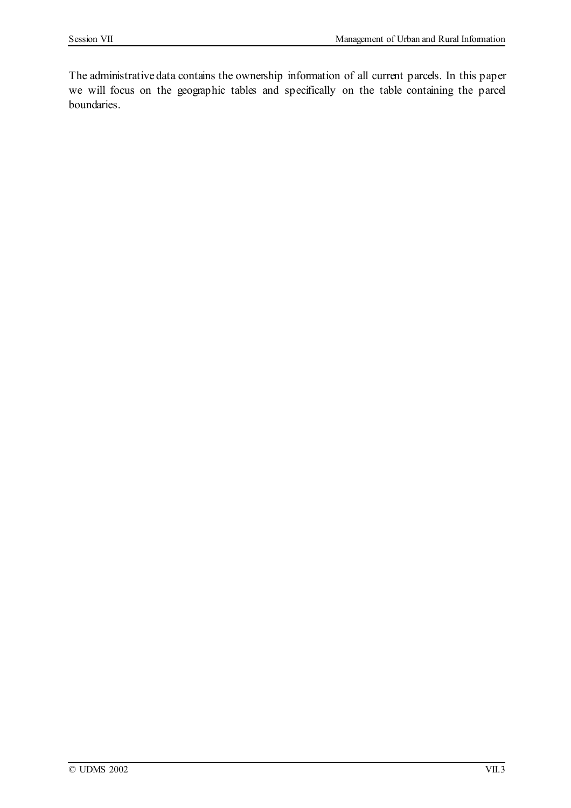The administrative data contains the ownership information of all current parcels. In this paper we will focus on the geographic tables and specifically on the table containing the parcel boundaries.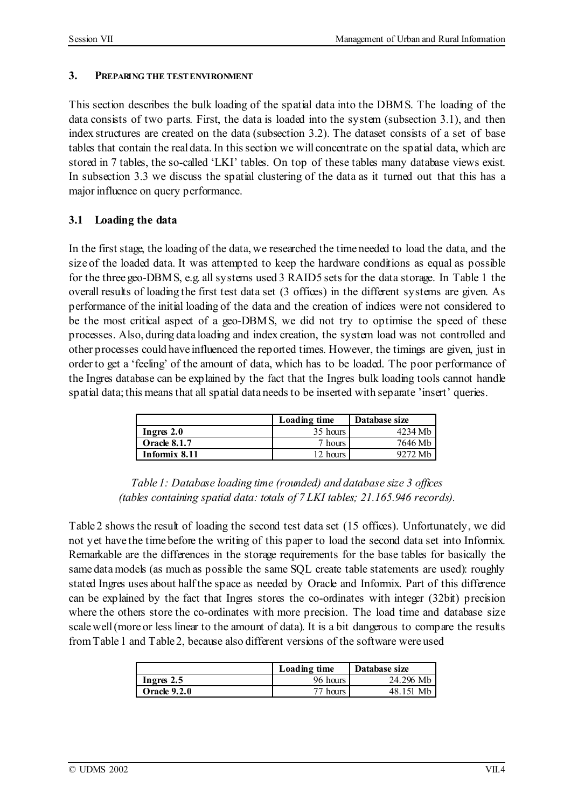### **3. PREPARING THE TESTENVIRONMENT**

This section describes the bulk loading of the spatial data into the DBMS. The loading of the data consists of two parts. First, the data is loaded into the system (subsection 3.1), and then index structures are created on the data (subsection 3.2). The dataset consists of a set of base tables that contain the real data. In this section we will concentrate on the spatial data, which are stored in 7 tables, the so-called 'LKI' tables. On top of these tables many database views exist. In subsection 3.3 we discuss the spatial clustering of the data as it turned out that this has a major influence on query performance.

## **3.1 Loading the data**

In the first stage, the loading of the data, we researched the time needed to load the data, and the size of the loaded data. It was attempted to keep the hardware conditions as equal as possible for the three geo-DBMS, e.g. all systems used 3 RAID5 setsfor the data storage. In Table 1 the overall results of loading the first test data set (3 offices) in the different systems are given. As performance of the initial loading of the data and the creation of indices were not considered to be the most critical aspect of a geo-DBMS, we did not try to optimise the speed of these processes. Also, during data loading and index creation, the system load was not controlled and other processes could have influenced the reported times. However, the timings are given, just in orderto get a 'feeling' of the amount of data, which has to be loaded. The poor performance of the Ingres database can be explained by the fact that the Ingres bulk loading tools cannot handle spatial data; this means that all spatial data needs to be inserted with separate 'insert' queries.

|                     | Loading time | Database size |
|---------------------|--------------|---------------|
| Ingres $2.0$        | 35 hours     | 4234 Mb       |
| <b>Oracle 8.1.7</b> | 7 hours      | 7646 Mb       |
| Informix 8.11       | 12 hours     | 9272 Mh       |

*Table 1: Database loading time (rounded) and database size 3 offices (tables containing spatial data: totals of 7 LKI tables; 21.165.946 records).*

Table 2 showsthe result of loading the second test data set (15 offices). Unfortunately, we did not yet have the time before the writing of this paper to load the second data set into Informix. Remarkable are the differences in the storage requirements for the base tables for basically the same data models (as much as possible the same SQL create table statements are used): roughly stated Ingres uses about half the space as needed by Oracle and Informix. Part of this difference can be explained by the fact that Ingres stores the co-ordinates with integer (32bit) precision where the others store the co-ordinates with more precision. The load time and database size scale well (more or less linear to the amount of data). It is a bit dangerous to compare the results fromTable 1 and Table 2, because also different versions of the software were used

|                     | Loading time | Database size |
|---------------------|--------------|---------------|
| Ingres 2.5          | 96 hours     | 24.296 Mb     |
| <b>Oracle 9.2.0</b> | 77 hours.    | 48 151 Mh     |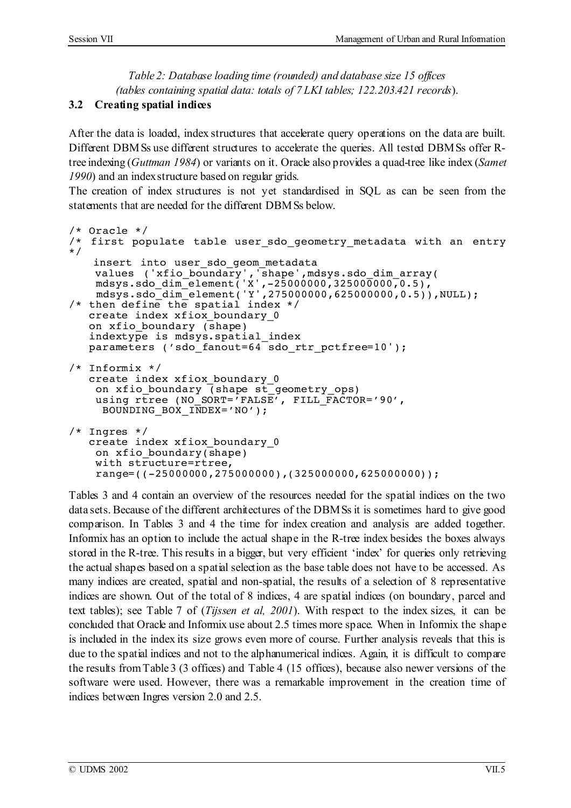*Table 2: Database loading time (rounded) and database size 15 offices (tables containing spatial data: totals of 7 LKI tables; 122.203.421 records*).

## **3.2 Creating spatial indices**

After the data is loaded, index structures that accelerate query operations on the data are built. Different DBMSs use different structures to accelerate the queries. All tested DBMSs offer Rtree indexing (*Guttman 1984*) or variants on it. Oracle also provides a quad-tree like index (*Samet* 1990) and an index structure based on regular grids.

The creation of index structures is not yet standardised in SQL as can be seen from the statements that are needed for the different DBMSs below.

```
/* Oracle */
/* first populate table user_sdo_geometry_metadata with an entry<br>*/<br>insert into user sdo qeom metadata
insert into user_sdo_geom_metadata<br>values ('xfio_boundary','shape',mdsys.sdo_dim_array(<br>mdsys.sdo_dim_element('Y',275000000,625000000,0.5)),NULL);
/* then define the spatial index */
   create index xfiox boundary 0
   on xfio_boundary (shape)
    indextype is mdsys.spatial_index
   parameters ('sdo fanout=64 sdo rtr pctfree=10');
/* Informix */
   create index xfiox boundary 0
     on xfio_boundary (shape st_geometry_ops)
     using rtree (NO_SORT='FALSE', FILL_FACTOR='90',<br>BOUNDING BOX INDEX='NO');
/* Ingres */
   create index xfiox_boundary_0
     on xfio boundary(shape)
     with structure=rtree,<br>range=((-25000000,275000000),(325000000,625000000));
```
Tables 3 and 4 contain an overview of the resources needed for the spatial indices on the two data sets.Because of the different architectures of the DBMSsit is sometimes hard to give good comparison. In Tables 3 and 4 the time for index creation and analysis are added together. Informix has an option to include the actual shape in the R-tree index besides the boxes always stored in the R-tree. This results in a bigger, but very efficient 'index' for queries only retrieving the actual shapes based on a spatial selection as the base table does not have to be accessed. As many indices are created, spatial and non-spatial, the results of a selection of 8 representative indices are shown. Out of the total of 8 indices, 4 are spatial indices (on boundary, parcel and text tables); see Table 7 of (*Tijssen et al, 2001*). With respect to the index sizes, it can be concluded that Oracle and Informix use about 2.5 times more space. When in Informix the shape is included in the index its size grows even more of course. Further analysis reveals that this is due to the spatial indices and not to the alphanumerical indices. Again, it is difficult to compare the results fromTable 3 (3 offices) and Table 4 (15 offices), because also newer versions of the software were used. However, there was a remarkable improvement in the creation time of indices between Ingres version 2.0 and 2.5.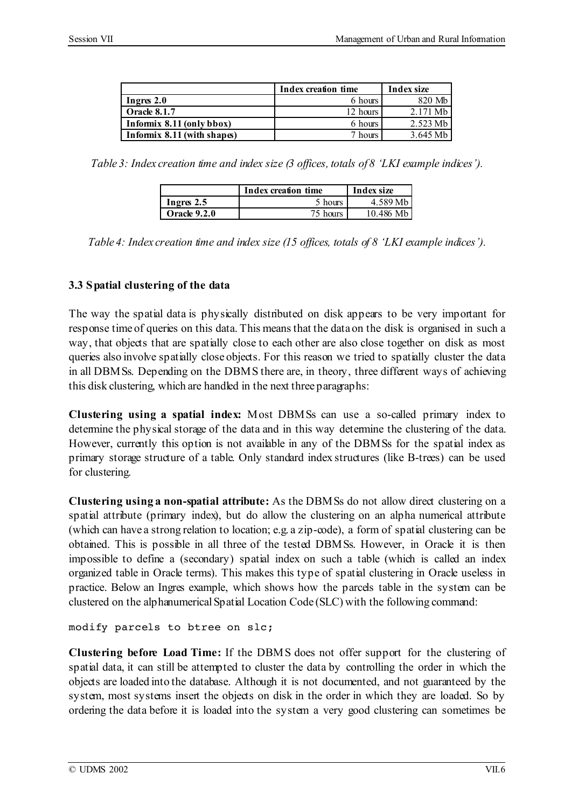|                               | Index creation time | Index size |
|-------------------------------|---------------------|------------|
| Ingres $2.0$                  | 6 hours             | 820 Mb     |
| <b>Oracle 8.1.7</b>           | 12 hours            | 2.171 Mb   |
| Informix $8.11$ (only bbox)   | 6 hours             | 2.523 Mb   |
| Informix $8.11$ (with shapes) | 7 hours             | 3.645 Mb   |

*Table 3: Index creation time and index size (3 offices, totals of 8 'LKI example indices').*

|                     | Index creation time | Index size |  |
|---------------------|---------------------|------------|--|
| Ingres $2.5$        | 5 hours             | 4.589 Mb   |  |
| <b>Oracle 9.2.0</b> | 75 hours            | 10.486 Mb  |  |

*Table 4: Index creation time and index size (15 offices, totals of 8 'LKI example indices').*

## **3.3 Spatial clustering of the data**

The way the spatial data is physically distributed on disk appears to be very important for response time of queries on this data. This meansthat the data on the disk is organised in such a way, that objects that are spatially close to each other are also close together on disk as most queries also involve spatially close objects. For this reason we tried to spatially cluster the data in all DBMSs. Depending on the DBMS there are, in theory, three different ways of achieving this disk clustering, which are handled in the next three paragraphs:

**Clustering using a spatial index:** Most DBMSs can use a so-called primary index to determine the physical storage of the data and in this way determine the clustering of the data. However, currently this option is not available in any of the DBMSs for the spatial index as primary storage structure of a table. Only standard index structures (like B-trees) can be used for clustering.

**Clustering using a non-spatial attribute:** As the DBMSs do not allow direct clustering on a spatial attribute (primary index), but do allow the clustering on an alpha numerical attribute (which can have a strong relation to location; e.g. a zip-code), a form of spatial clustering can be obtained. This is possible in all three of the tested DBMSs. However, in Oracle it is then impossible to define a (secondary) spatial index on such a table (which is called an index organized table in Oracle terms). This makes this type of spatial clustering in Oracle useless in practice. Below an Ingres example, which shows how the parcels table in the system can be clustered on the alphanumericalSpatial Location Code (SLC) with the following command:

modify parcels to btree on slc;

**Clustering before Load Time:** If the DBMS does not offer support for the clustering of spatial data, it can still be attempted to cluster the data by controlling the order in which the objects are loaded into the database. Although it is not documented, and not guaranteed by the system, most systems insert the objects on disk in the order in which they are loaded. So by ordering the data before it is loaded into the system a very good clustering can sometimes be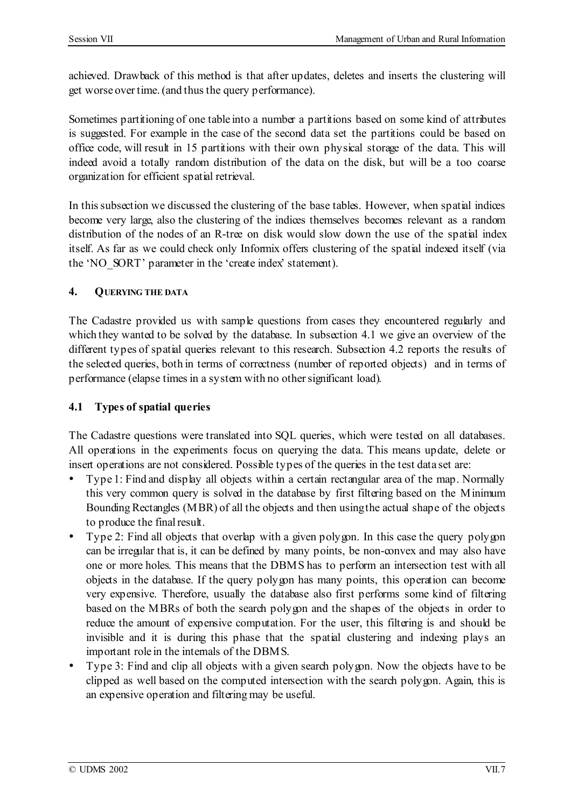achieved. Drawback of this method is that after updates, deletes and inserts the clustering will get worse over time. (and thus the query performance).

Sometimes partitioning of one table into a number a partitions based on some kind of attributes is suggested. For example in the case of the second data set the partitions could be based on office code, will result in 15 partitions with their own physical storage of the data. This will indeed avoid a totally random distribution of the data on the disk, but will be a too coarse organization for efficient spatial retrieval.

In this subsection we discussed the clustering of the base tables. However, when spatial indices become very large, also the clustering of the indices themselves becomes relevant as a random distribution of the nodes of an R-tree on disk would slow down the use of the spatial index itself. As far as we could check only Informix offers clustering of the spatial indexed itself (via the 'NO\_SORT' parameter in the 'create index' statement).

## **4. QUERYING THE DATA**

The Cadastre provided us with sample questions from cases they encountered regularly and which they wanted to be solved by the database. In subsection 4.1 we give an overview of the different types of spatial queries relevant to this research. Subsection 4.2 reports the results of the selected queries, both in terms of correctness (number of reported objects) and in terms of performance (elapse times in a system with no other significant load).

## **4.1 Types of spatial queries**

The Cadastre questions were translated into SQL queries, which were tested on all databases. All operations in the experiments focus on querying the data. This means update, delete or insert operations are not considered. Possible types of the queries in the test data set are:

Type 1: Find and display all objects within a certain rectangular area of the map. Normally this very common query is solved in the database by first filtering based on the Minimum Bounding Rectangles (MBR) of all the objects and then using the actual shape of the objects to produce the final result.

Type 2: Find all objects that overlap with a given polygon. In this case the query polygon can be irregular that is, it can be defined by many points, be non-convex and may also have one or more holes. This means that the DBMS has to perform an intersection test with all objects in the database. If the query polygon has many points, this operation can become very expensive. Therefore, usually the database also first performs some kind of filtering based on the MBRs of both the search polygon and the shapes of the objects in order to reduce the amount of expensive computation. For the user, this filtering is and should be invisible and it is during this phase that the spatial clustering and indexing plays an important role in the internals of the DBMS.

Type 3: Find and clip all objects with a given search polygon. Now the objects have to be clipped as well based on the computed intersection with the search polygon. Again, this is an expensive operation and filtering may be useful.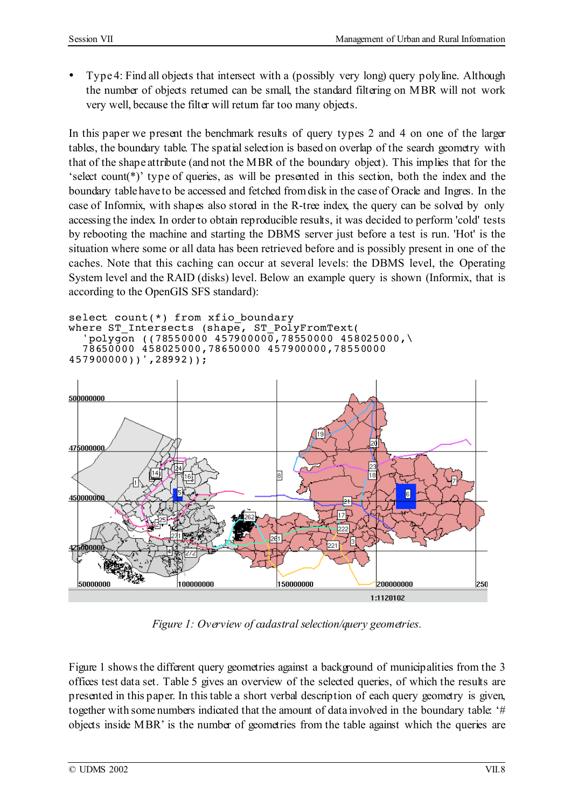Type 4: Find all objects that intersect with a (possibly very long) query polyline. Although the number of objects returned can be small, the standard filtering on MBR will not work very well, because the filter will return far too many objects.

In this paper we present the benchmark results of query types 2 and 4 on one of the larger tables, the boundary table. The spatial selection is based on overlap of the search geometry with that of the shape attribute (and not the MBR of the boundary object). This implies that for the 'select count(\*)' type of queries, as will be presented in this section, both the index and the boundary table have to be accessed and fetched from disk in the case of Oracle and Ingres. In the case of Informix, with shapes also stored in the R-tree index, the query can be solved by only accessing the index. In order to obtain reproducible results, it was decided to perform 'cold' tests by rebooting the machine and starting the DBMS server just before a test is run. 'Hot' is the situation where some or all data has been retrieved before and is possibly present in one of the caches. Note that this caching can occur at several levels: the DBMS level, the Operating System level and the RAID (disks) level. Below an example query is shown (Informix, that is according to the OpenGIS SFS standard):

```
select count(*) from xfio_boundary<br>where ST_Intersects (shape, ST_PolyFromText(
   polyqon ((78550000 4579000000,78550000 458025000,\
  78650000 458025000,78650000 457900000,78550000
457900000))',28992));
```


*Figure 1: Overview of cadastral selection/query geometries.*

Figure 1 shows the different query geometries against a background of municipalities from the 3 offices test data set. Table 5 gives an overview of the selected queries, of which the results are presented in this paper. In thistable a short verbal description of each query geometry is given, together with some numbers indicated that the amount of data involved in the boundary table: '# objects inside MBR' is the number of geometries from the table against which the queries are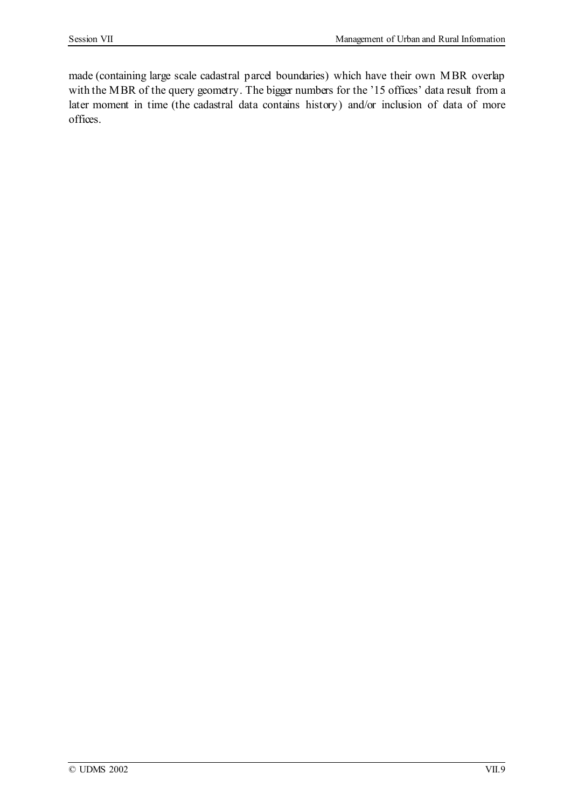made (containing large scale cadastral parcel boundaries) which have their own MBR overlap with the MBR of the query geometry. The bigger numbers for the '15 offices' data result from a later moment in time (the cadastral data contains history) and/or inclusion of data of more offices.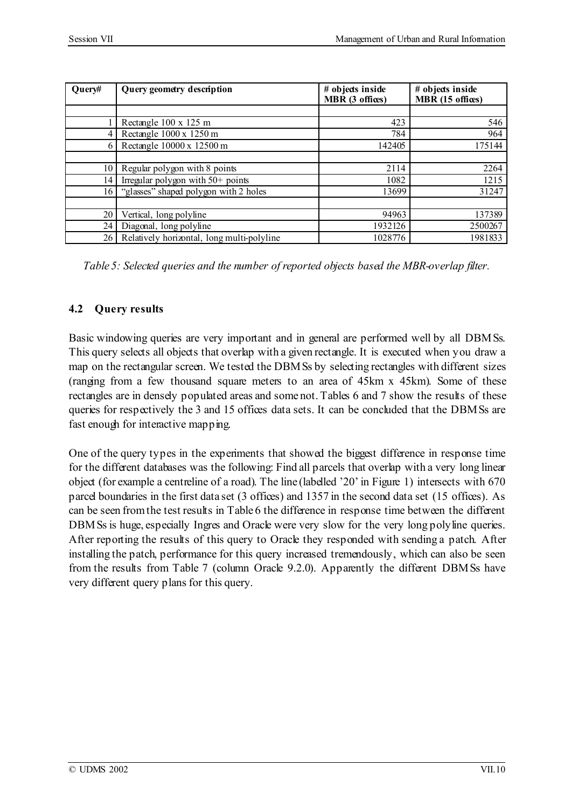| Query# | Query geometry description                 | # objects inside<br>MBR (3 offices) | # objects inside<br>MBR (15 offices) |
|--------|--------------------------------------------|-------------------------------------|--------------------------------------|
|        |                                            |                                     |                                      |
|        | Rectangle 100 x 125 m                      | 423                                 | 546                                  |
|        | Rectangle 1000 x 1250 m                    | 784                                 | 964                                  |
|        | Rectangle 10000 x 12500 m                  | 142405                              | 175144                               |
|        |                                            |                                     |                                      |
| 10     | Regular polygon with 8 points              | 2114                                | 2264                                 |
| 14     | Irregular polygon with $50+$ points        | 1082                                | 1215                                 |
| 16     | "glasses" shaped polygon with 2 holes      | 13699                               | 31247                                |
|        |                                            |                                     |                                      |
| 20     | Vertical, long polyline                    | 94963                               | 137389                               |
| 24     | Diagonal, long polyline                    | 1932126                             | 2500267                              |
| 26     | Relatively horizontal, long multi-polyline | 1028776                             | 1981833                              |

*Table 5: Selected queries and the number of reported objects based the MBR-overlap filter.*

# **4.2 Query results**

Basic windowing queries are very important and in general are performed well by all DBMSs. This query selects all objects that overlap with a given rectangle. It is executed when you draw a map on the rectangular screen. We tested the DBMSs by selecting rectangles with different sizes (ranging from a few thousand square meters to an area of 45km x 45km). Some of these rectangles are in densely populated areas and some not. Tables 6 and 7 show the results of these queries for respectively the 3 and 15 offices data sets. It can be concluded that the DBMSs are fast enough for interactive mapping.

One of the query types in the experiments that showed the biggest difference in response time for the different databases was the following: Find all parcels that overlap with a very long linear object (for example a centreline of a road). The line (labelled '20'in Figure 1) intersects with 670 parcel boundaries in the first data set (3 offices) and 1357 in the second data set (15 offices). As can be seen fromthe test results in Table 6 the difference in response time between the different DBMSs is huge, especially Ingres and Oracle were very slow for the very long polyline queries. After reporting the results of this query to Oracle they responded with sending a patch. After installing the patch, performance for this query increased tremendously, which can also be seen from the results from Table 7 (column Oracle 9.2.0). Apparently the different DBMSs have very different query plans for this query.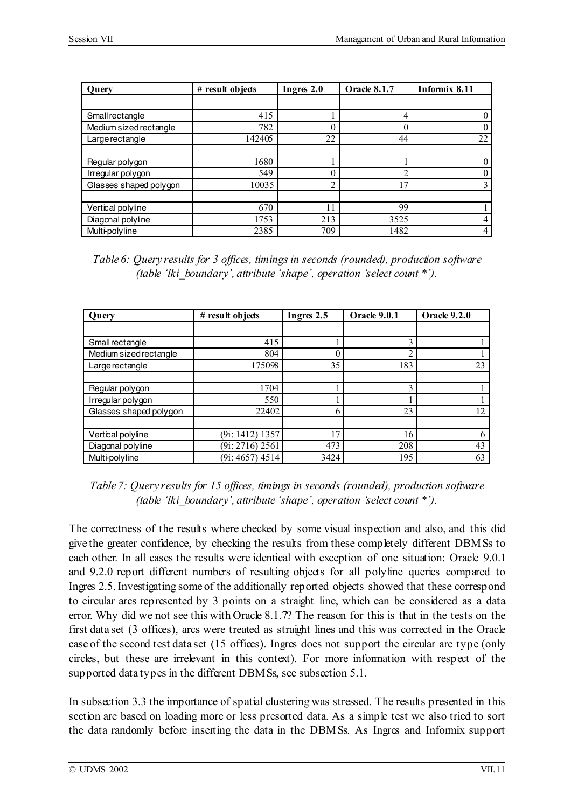| Ouery                  | # result objects | Ingres 2.0 | <b>Oracle 8.1.7</b> | Informix 8.11 |
|------------------------|------------------|------------|---------------------|---------------|
|                        |                  |            |                     |               |
| Smallrectangle         | 415              |            |                     |               |
| Medium sized rectangle | 782              |            |                     |               |
| Large rectangle        | 142405           | 22         | 44                  | 22            |
|                        |                  |            |                     |               |
| Regular polygon        | 1680             |            |                     |               |
| Irregular polygon      | 549              |            |                     |               |
| Glasses shaped polygon | 10035            | ◠          | 17                  |               |
|                        |                  |            |                     |               |
| Vertical polyline      | 670              | 11         | 99                  |               |
| Diagonal polyline      | 1753             | 213        | 3525                | 4             |
| <b>Multi-polyline</b>  | 2385             | 709        | 1482                | 4             |

*Table 6: Query results for 3 offices, timingsin seconds (rounded), production software (table 'lki\_boundary', attribute 'shape', operation 'select count \*').*

| Ouery                  | # result objects             | Ingres 2.5 | <b>Oracle 9.0.1</b> | <b>Oracle 9.2.0</b> |
|------------------------|------------------------------|------------|---------------------|---------------------|
|                        |                              |            |                     |                     |
| Smallrectangle         | 415                          |            | 3                   |                     |
| Medium sized rectangle | 804                          |            | $\overline{c}$      |                     |
| Large rectangle        | 175098                       | 35         | 183                 | 23                  |
|                        |                              |            |                     |                     |
| Regular polygon        | 1704                         |            | 3                   |                     |
| Irregular polygon      | 550                          |            |                     |                     |
| Glasses shaped polygon | 22402                        |            | 23                  | 12                  |
|                        |                              |            |                     |                     |
| Vertical polyline      | $(9i: 1412)$ 1357            | 17         | 16                  | 6                   |
| Diagonal polyline      | $(9i: 2716) 2\overline{561}$ | 473        | 208                 | 43                  |
| Multi-polyline         | $(9i: 4657)$ 4514            | 3424       | 195                 | 63                  |

*Table 7: Query results for 15 offices, timings in seconds (rounded), production software (table 'lki\_boundary', attribute 'shape', operation 'select count \*').*

The correctness of the results where checked by some visual inspection and also, and this did give the greater confidence, by checking the results from these completely different DBMSs to each other. In all cases the results were identical with exception of one situation: Oracle 9.0.1 and 9.2.0 report different numbers of resulting objects for all polyline queries compared to Ingres 2.5.Investigating some of the additionally reported objects showed that these correspond to circular arcs represented by 3 points on a straight line, which can be considered as a data error. Why did we not see this with Oracle 8.1.7? The reason for this is that in the tests on the first data set (3 offices), arcs were treated as straight lines and this was corrected in the Oracle case of the second test data set (15 offices). Ingres does not support the circular arc type (only circles, but these are irrelevant in this context). For more information with respect of the supported data types in the different DBMSs, see subsection 5.1.

In subsection 3.3 the importance of spatial clustering was stressed. The results presented in this section are based on loading more or less presorted data. As a simple test we also tried to sort the data randomly before inserting the data in the DBMSs. As Ingres and Informix support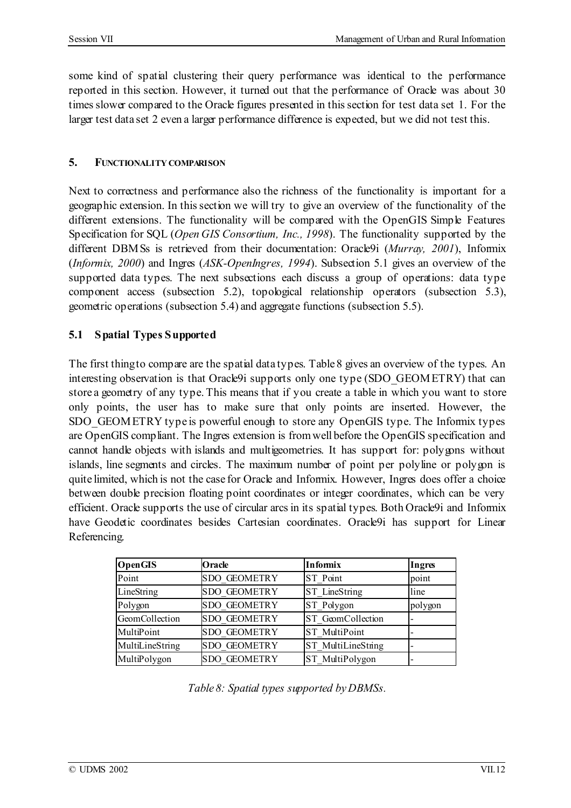some kind of spatial clustering their query performance was identical to the performance reported in this section. However, it turned out that the performance of Oracle was about 30 times slower compared to the Oracle figures presented in this section for test data set 1. For the larger test data set 2 even a larger performance difference is expected, but we did not test this.

## **5. FUNCTIONALITY COMPARISON**

Next to correctness and performance also the richness of the functionality is important for a geographic extension. In thissection we will try to give an overview of the functionality of the different extensions. The functionality will be compared with the OpenGIS Simple Features Specification for SQL (*Open GIS Consortium, Inc., 1998*). The functionality supported by the different DBMSs is retrieved from their documentation: Oracle9i (*Murray, 2001*), Informix (*Informix, 2000*) and Ingres (*ASK-OpenIngres, 1994*). Subsection 5.1 gives an overview of the supported data types. The next subsections each discuss a group of operations: data type component access (subsection 5.2), topological relationship operators (subsection 5.3), geometric operations (subsection 5.4) and aggregate functions (subsection 5.5).

## **5.1 Spatial Types Supported**

The first thingto compare are the spatial data types. Table 8 gives an overview of the types. An interesting observation is that Oracle9i supports only one type (SDO\_GEOMETRY) that can store a geometry of any type. This means that if you create a table in which you want to store only points, the user has to make sure that only points are inserted. However, the SDO\_GEOMETRY type is powerful enough to store any OpenGIS type. The Informix types are OpenGIS compliant. The Ingres extension is fromwell before the OpenGIS specification and cannot handle objects with islands and multigeometries. It has support for: polygons without islands, line segments and circles. The maximum number of point per polyline or polygon is quite limited, which is not the case for Oracle and Informix. However, Ingres does offer a choice between double precision floating point coordinates or integer coordinates, which can be very efficient. Oracle supports the use of circular arcs in its spatial types. Both Oracle9i and Informix have Geodetic coordinates besides Cartesian coordinates. Oracle9i has support for Linear Referencing.

| <b>OpenGIS</b>  | <b>Oracle</b>       | <b>Informix</b>           | Ingres  |
|-----------------|---------------------|---------------------------|---------|
| Point           | <b>SDO GEOMETRY</b> | ST Point                  | point   |
| LineString      | <b>SDO GEOMETRY</b> | ST LineString             | line    |
| Polygon         | <b>SDO GEOMETRY</b> | ST Polygon                | polygon |
| GeomCollection  | <b>SDO GEOMETRY</b> | ST GeomCollection         |         |
| MultiPoint      | <b>SDO GEOMETRY</b> | <b>ST</b> MultiPoint      |         |
| MultiLineString | <b>SDO GEOMETRY</b> | <b>ST</b> MultiLineString |         |
| MultiPolygon    | <b>SDO GEOMETRY</b> | ST MultiPolygon           |         |

*Table 8: Spatial types supported byDBMSs.*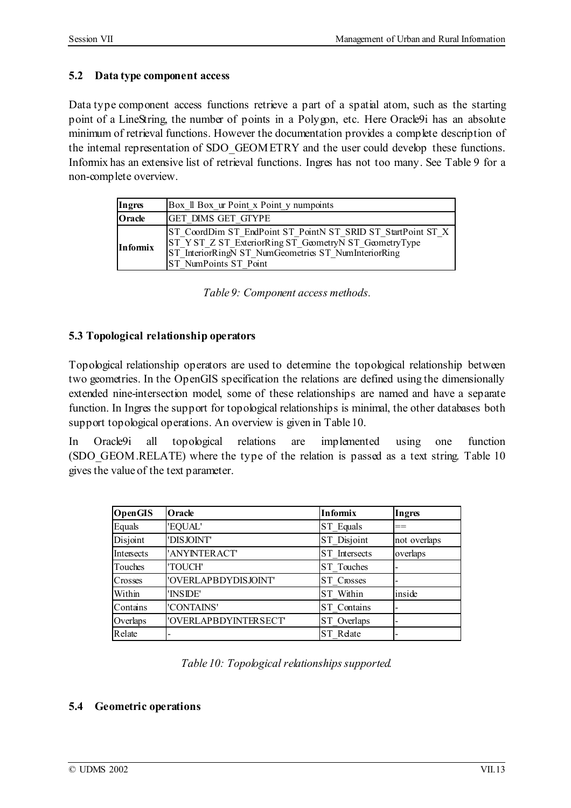## **5.2 Data type component access**

Data type component access functions retrieve a part of a spatial atom, such as the starting point of a LineString, the number of points in a Polygon, etc. Here Oracle9i has an absolute minimum of retrieval functions. However the documentation provides a complete description of the internal representation of SDO\_GEOMETRY and the user could develop these functions. Informix has an extensive list of retrieval functions. Ingres has not too many. See Table 9 for a non-complete overview.

| Ingres          | Box II Box ur Point x Point y numpoints                                                                                                                                                                 |
|-----------------|---------------------------------------------------------------------------------------------------------------------------------------------------------------------------------------------------------|
| Oracle          | <b>GET DIMS GET GTYPE</b>                                                                                                                                                                               |
| <b>Informix</b> | ST CoordDim ST EndPoint ST PointN ST SRID ST StartPoint ST X<br>ST Y ST Z ST ExteriorRing ST GeometryN ST GeometryType<br>ST InteriorRingN ST NumGeometries ST NumInteriorRing<br>ST NumPoints ST Point |

*Table 9: Component access methods.*

## **5.3 Topological relationship operators**

Topological relationship operators are used to determine the topological relationship between two geometries. In the OpenGIS specification the relations are defined using the dimensionally extended nine-intersection model, some of these relationships are named and have a separate function. In Ingres the support for topological relationships is minimal, the other databases both support topological operations. An overview is given in Table 10.

In Oracle9i all topological relations are implemented using one function (SDO\_GEOM.RELATE) where the type of the relation is passed as a text string. Table 10 gives the value of the text parameter.

| <b>OpenGIS</b> | Oracle                | <b>Informix</b> | Ingres       |
|----------------|-----------------------|-----------------|--------------|
| Equals         | 'EQUAL'               | ST Equals       | ==           |
| Disjoint       | 'DISJOINT'            | ST Disjoint     | not overlaps |
| Intersects     | 'ANYINTERACT'         | ST Intersects   | overlaps     |
| Touches        | 'TOUCH'               | ST Touches      |              |
| Crosses        | 'OVERLAPBDYDISJOINT'  | ST Crosses      |              |
| Within         | 'INSIDE'              | ST Within       | inside       |
| Contains       | 'CONTAINS'            | ST Contains     |              |
| Overlaps       | 'OVERLAPBDYINTERSECT' | ST Overlaps     |              |
| Relate         |                       | ST Relate       |              |

### **5.4 Geometric operations**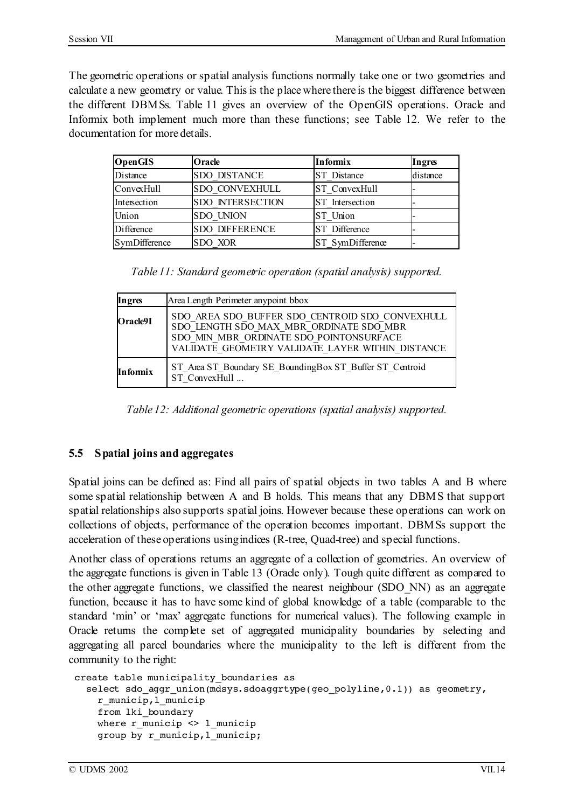The geometric operations or spatial analysis functions normally take one or two geometries and calculate a new geometry or value. This is the place where there is the biggest difference between the different DBMSs. Table 11 gives an overview of the OpenGIS operations. Oracle and Informix both implement much more than these functions; see Table 12. We refer to the documentation for more details.

| <b>OpenGIS</b> | Oracle                  | <b>Informix</b>  | Ingres   |
|----------------|-------------------------|------------------|----------|
| Distance       | <b>SDO DISTANCE</b>     | ST Distance      | distance |
| ConvexHull     | <b>SDO CONVEXHULL</b>   | ST ConvexHull    |          |
| Intersection   | <b>SDO INTERSECTION</b> | ST Intersection  |          |
| Union          | <b>SDO UNION</b>        | ST Union         |          |
| Difference     | <b>SDO DIFFERENCE</b>   | ST Difference    |          |
| SymDifference  | <b>SDO XOR</b>          | ST SymDifference |          |

*Table 11: Standard geometric operation (spatial analysis) supported.*

| Ingres   | Area Length Perimeter anypoint bbox                                                                                                                                                       |
|----------|-------------------------------------------------------------------------------------------------------------------------------------------------------------------------------------------|
| Oracle9I | SDO AREA SDO BUFFER SDO CENTROID SDO CONVEXHULL<br>SDO LENGTH SDO MAX MBR ORDINATE SDO MBR<br>SDO MIN MBR ORDINATE SDO POINTONSURFACE<br>VALIDATE GEOMETRY VALIDATE LAYER WITHIN DISTANCE |
| Informix | ST Area ST Boundary SE BoundingBox ST Buffer ST Centroid<br>ST ConvexHull                                                                                                                 |

*Table 12: Additional geometric operations (spatial analysis) supported.*

### **5.5 Spatial joins and aggregates**

Spatial joins can be defined as: Find all pairs of spatial objects in two tables A and B where some spatial relationship between A and B holds. This means that any DBMS that support spatial relationships also supports spatial joins. However because these operations can work on collections of objects, performance of the operation becomes important. DBMSs support the acceleration of these operations usingindices (R-tree, Quad-tree) and special functions.

Another class of operations returns an aggregate of a collection of geometries. An overview of the aggregate functions is given in Table 13 (Oracle only). Tough quite different as compared to the other aggregate functions, we classified the nearest neighbour (SDO\_NN) as an aggregate function, because it has to have some kind of global knowledge of a table (comparable to the standard 'min' or 'max' aggregate functions for numerical values). The following example in Oracle returns the complete set of aggregated municipality boundaries by selecting and aggregating all parcel boundaries where the municipality to the left is different from the community to the right:

```
create table municipality_boundaries as
  select sdo aggr_union(mdsys.sdoaggrtype(geo_polyline,0.1)) as geometry,
    r_municip,l_municip
    from lki_boundary
    where r municip \langle r \rangle l municip
    group by r_municip, 1 municip;
```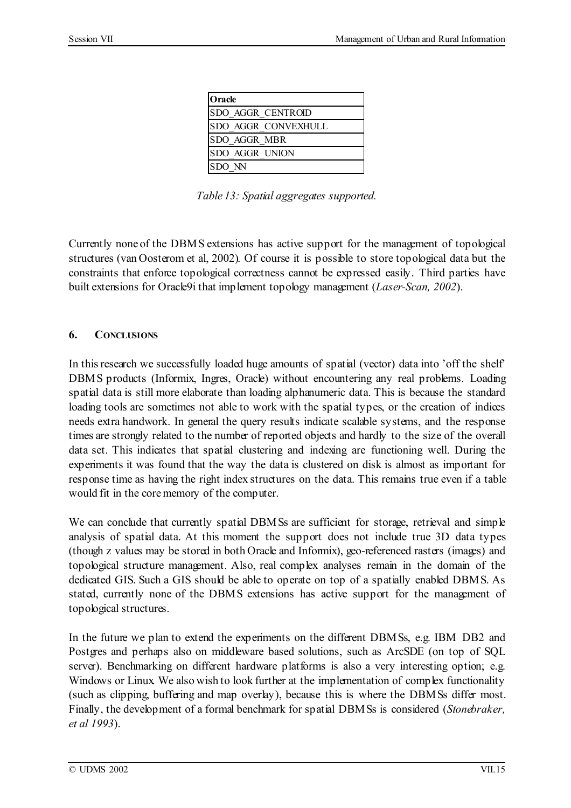| Oracle                      |
|-----------------------------|
| <b>SDO AGGR CENTROID</b>    |
| <b>ISDO AGGR CONVEXHULL</b> |
| <b>SDO AGGR MBR</b>         |
| <b>ISDO AGGR UNION</b>      |
| SDO NN                      |

*Table 13: Spatial aggregates supported.*

Currently none of the DBMS extensions has active support for the management of topological structures (van Oosterom et al, 2002). Of course it is possible to store topological data but the constraints that enforce topological correctness cannot be expressed easily. Third parties have built extensions for Oracle9i that implement topology management (*Laser-Scan, 2002*).

## **6. CONCLUSIONS**

In this research we successfully loaded huge amounts of spatial (vector) data into 'off the shelf' DBMS products (Informix, Ingres, Oracle) without encountering any real problems. Loading spatial data is still more elaborate than loading alphanumeric data. This is because the standard loading tools are sometimes not able to work with the spatial types, or the creation of indices needs extra handwork. In general the query results indicate scalable systems, and the response times are strongly related to the number of reported objects and hardly to the size of the overall data set. This indicates that spatial clustering and indexing are functioning well. During the experiments it was found that the way the data is clustered on disk is almost as important for response time as having the right index structures on the data. This remains true even if a table would fit in the corememory of the computer.

We can conclude that currently spatial DBMSs are sufficient for storage, retrieval and simple analysis of spatial data. At this moment the support does not include true 3D data types (though z values may be stored in both Oracle and Informix), geo-referenced rasters (images) and topological structure management. Also, real complex analyses remain in the domain of the dedicated GIS. Such a GIS should be able to operate on top of a spatially enabled DBMS. As stated, currently none of the DBMS extensions has active support for the management of topological structures.

In the future we plan to extend the experiments on the different DBMSs, e.g. IBM DB2 and Postgres and perhaps also on middleware based solutions, such as ArcSDE (on top of SQL server). Benchmarking on different hardware platforms is also a very interesting option; e.g. Windows or Linux. We also wish to look further at the implementation of complex functionality (such as clipping, buffering and map overlay), because this is where the DBMSs differ most. Finally, the development of a formal benchmark for spatial DBMSs is considered (*Stonebraker, et al 1993*).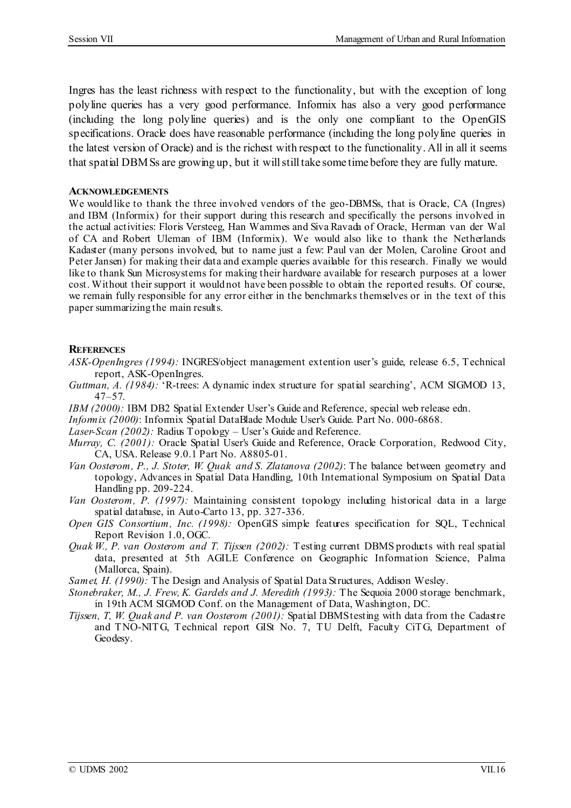Ingres has the least richness with respect to the functionality, but with the exception of long polyline queries has a very good performance. Informix has also a very good performance (including the long polyline queries) and is the only one compliant to the OpenGIS specifications. Oracle does have reasonable performance (including the long polyline queries in the latest version of Oracle) and is the richest with respect to the functionality. All in all it seems that spatial DBMSs are growing up, but it willstilltake some time before they are fully mature.

#### **ACKNOWLEDGEMENTS**

We would like to thank the three involved vendors of the geo-DBMSs, that is Oracle, CA (Ingres) and IBM (Informix) for their support during this research and specifically the persons involved in the actual activities: Floris Versteeg, Han Wammes and Siva Ravada of Oracle, Herman van der Wal of CA and Robert Uleman of IBM (Informix). We would also like to thank the Netherlands Kadaster (many persons involved, but to name just a few: Paul van der Molen, Caroline Groot and Peter Jansen) for making their data and example queries available for this research. Finally we would like to thank Sun Microsystems for making their hardware available for research purposes at a lower cost. Without their support it would not have been possible to obtain the reported results. Of course, we remain fully responsible for any error either in the benchmarks themselves or in the text of this paper summarizing the main results.

#### **REFERENCES**

- *ASK-OpenIngres (1994):* INGRES/object management extention user's guide, release 6.5, Technical report, ASK-OpenIngres.
- *Guttman, A. (1984):* 'R-trees: A dynamic index structure for spatial searching', ACM SIGMOD 13, 47–57.
- *IBM (2000):* IBM DB2 Spatial Extender User's Guide and Reference, special web release edn.
- *Informix (2000)*: Informix Spatial DataBlade Module User's Guide. Part No. 000-6868.
- *Laser-Scan (2002):* Radius Topology User's Guide and Reference.
- *Murray, C. (2001):* Oracle Spatial User's Guide and Reference, Oracle Corporation, Redwood City, CA, USA. Release 9.0.1 Part No. A8805-01.
- *Van Oosterom, P., J. Stoter, W. Quak and S. Zlatanova (2002)*: The balance between geometry and topology, Advances in Spatial Data Handling, 10th International Symposium on Spatial Data Handling pp. 209-224.
- *Van Oosterom, P. (1997):* Maintaining consistent topology including historical data in a large spatial database, in Auto-Carto 13, pp. 327-336.
- *Open GIS Consortium, Inc. (1998):* OpenGIS simple features specification for SQL, Technical Report Revision 1.0, OGC.
- *Quak W., P. van Oosterom and T. Tijssen (2002):* Testing current DBMS products with real spatial data, presented at 5th AGILE Conference on Geographic Information Science, Palma (Mallorca, Spain).
- *Samet, H. (1990):* The Design and Analysis of Spatial Data Structures, Addison Wesley.
- *Stonebraker, M., J. Frew, K. Gardels and J. Meredith (1993):* The Sequoia 2000 storage benchmark, in 19th ACM SIGMOD Conf. on the Management of Data, Washington, DC.
- *Tijssen, T, W. Quak and P. van Oosterom (2001):* Spatial DBMStesting with data from the Cadastre and TNO-NITG, Technical report GISt No. 7, TU Delft, Faculty CiTG, Department of Geodesy.